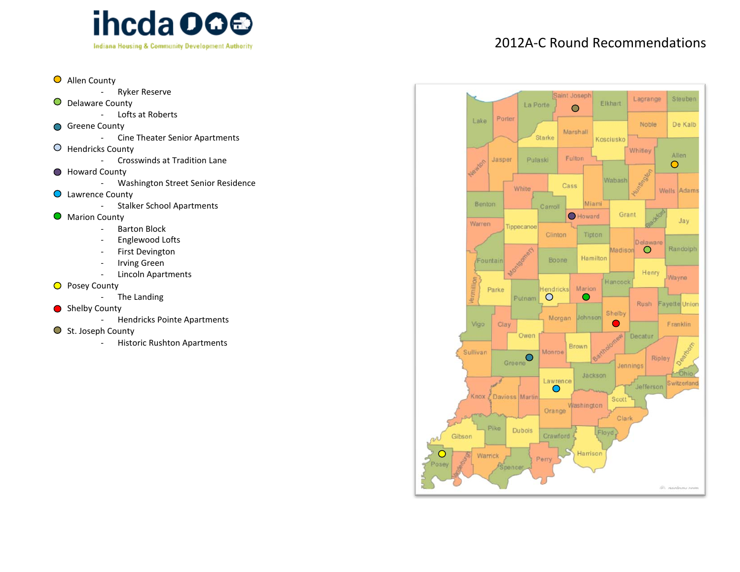

- Allen County
	- Ryker Reserve
- $\bullet$ Delaware County
	- Lofts at Roberts
- Greene County
	- Cine Theater Senior Apartments
- Hendricks County
	- Crosswinds at Tradition Lane
- Howard County
	- Washington Street Senior Residence
- Lawrence County
	- Stalker School Apartments
- $\bullet$ Marion County
	- Barton Block
	- Englewood Lofts
	- First Devington
	- Irving Green
	- Lincoln Apartments
- O Posey County
	- The Landing
- Shelby County
	- Hendricks Pointe Apartments
- $\bigcirc$  St. Joseph County
	- Historic Rushton Apartments



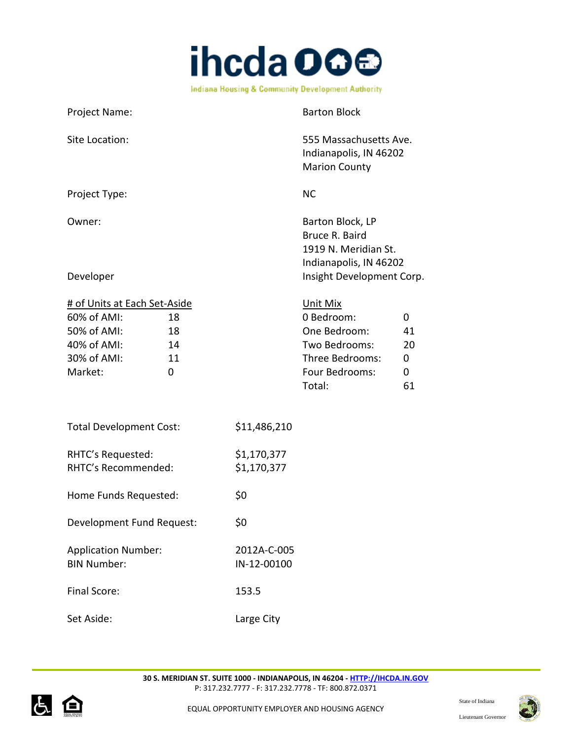

Project Name: Barton Block Site Location:  $555$  Massachusetts Ave. Indianapolis, IN 46202 Marion County Project Type: NC Owner: Barton Block, LP Bruce R. Baird 1919 N. Meridian St. Indianapolis, IN 46202 Developer **Insight Development Corp.** # of Units at Each Set-Aside Unit Mix 60% of AMI: 18 18 0 Bedroom: 0 50% of AMI: 18 One Bedroom: 41 40% of AMI: 14 Two Bedrooms: 20 30% of AMI: 11 Three Bedrooms: 0 Market: 0 0 0 Four Bedrooms: 0

| <b>Total Development Cost:</b>                   | \$11,486,210               |
|--------------------------------------------------|----------------------------|
| RHTC's Requested:<br>RHTC's Recommended:         | \$1,170,377<br>\$1,170,377 |
| Home Funds Requested:                            | \$0                        |
| Development Fund Request:                        | \$0                        |
| <b>Application Number:</b><br><b>BIN Number:</b> | 2012A-C-005<br>IN-12-00100 |
| Final Score:                                     | 153.5                      |
| Set Aside:                                       | Large City                 |

Total: 61



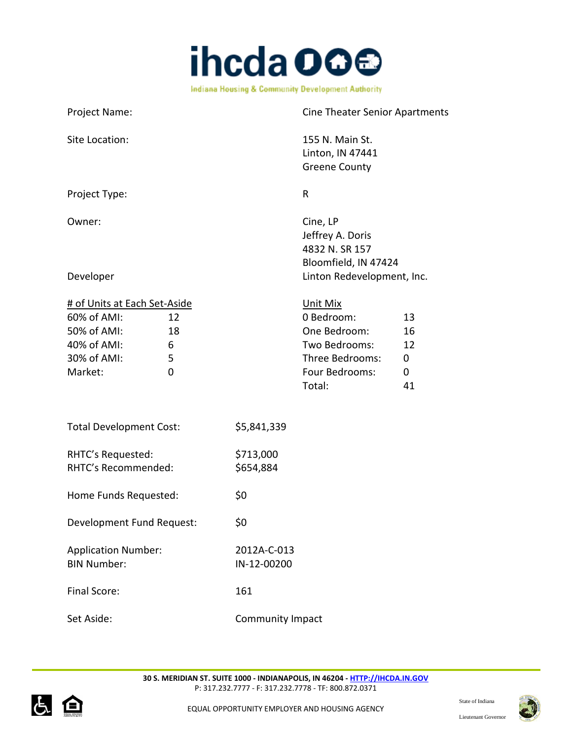

| Project Name:                                                                                       |                                   | <b>Cine Theater Senior Apartments</b> |                                                                                                               |                                |
|-----------------------------------------------------------------------------------------------------|-----------------------------------|---------------------------------------|---------------------------------------------------------------------------------------------------------------|--------------------------------|
| Site Location:                                                                                      |                                   |                                       | 155 N. Main St.<br>Linton, IN 47441<br><b>Greene County</b>                                                   |                                |
| Project Type:                                                                                       |                                   |                                       | $\mathsf R$                                                                                                   |                                |
| Owner:                                                                                              |                                   |                                       | Cine, LP<br>Jeffrey A. Doris<br>4832 N. SR 157<br>Bloomfield, IN 47424                                        |                                |
| Developer                                                                                           |                                   |                                       | Linton Redevelopment, Inc.                                                                                    |                                |
| # of Units at Each Set-Aside<br>60% of AMI:<br>50% of AMI:<br>40% of AMI:<br>30% of AMI:<br>Market: | 12<br>18<br>6<br>5<br>$\mathbf 0$ |                                       | <b>Unit Mix</b><br>0 Bedroom:<br>One Bedroom:<br>Two Bedrooms:<br>Three Bedrooms:<br>Four Bedrooms:<br>Total: | 13<br>16<br>12<br>0<br>0<br>41 |
| <b>Total Development Cost:</b>                                                                      |                                   | \$5,841,339                           |                                                                                                               |                                |
| RHTC's Requested:<br>RHTC's Recommended:                                                            |                                   | \$713,000<br>\$654,884                |                                                                                                               |                                |
| Home Funds Requested:                                                                               |                                   | \$0                                   |                                                                                                               |                                |
| Development Fund Request:                                                                           |                                   | \$0                                   |                                                                                                               |                                |
| <b>Application Number:</b><br><b>BIN Number:</b>                                                    |                                   | 2012A-C-013<br>IN-12-00200            |                                                                                                               |                                |
| Final Score:                                                                                        |                                   | 161                                   |                                                                                                               |                                |
| Set Aside:                                                                                          |                                   | Community Impact                      |                                                                                                               |                                |



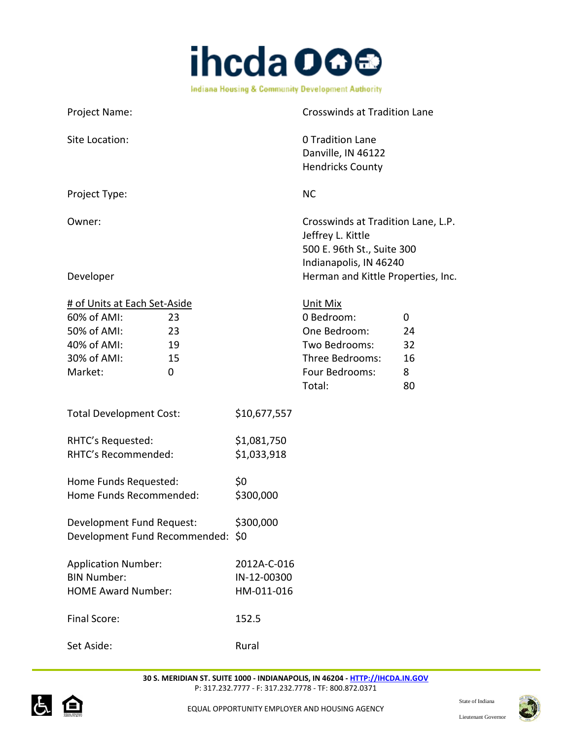

| Project Name:                                                                                            |                      |                                          | <b>Crosswinds at Tradition Lane</b>                                                                             |                                |
|----------------------------------------------------------------------------------------------------------|----------------------|------------------------------------------|-----------------------------------------------------------------------------------------------------------------|--------------------------------|
| Site Location:                                                                                           |                      |                                          | 0 Tradition Lane<br>Danville, IN 46122<br><b>Hendricks County</b>                                               |                                |
| Project Type:                                                                                            |                      |                                          | <b>NC</b>                                                                                                       |                                |
| Owner:                                                                                                   |                      |                                          | Crosswinds at Tradition Lane, L.P.<br>Jeffrey L. Kittle<br>500 E. 96th St., Suite 300<br>Indianapolis, IN 46240 |                                |
| Developer                                                                                                |                      |                                          | Herman and Kittle Properties, Inc.                                                                              |                                |
| # of Units at Each Set-Aside<br>60% of AMI:<br>50% of AMI:<br>40% of AMI:<br>30% of AMI:<br>Market:<br>0 | 23<br>23<br>19<br>15 |                                          | Unit Mix<br>0 Bedroom:<br>One Bedroom:<br>Two Bedrooms:<br>Three Bedrooms:<br>Four Bedrooms:<br>Total:          | 0<br>24<br>32<br>16<br>8<br>80 |
| <b>Total Development Cost:</b>                                                                           |                      | \$10,677,557                             |                                                                                                                 |                                |
| RHTC's Requested:<br>RHTC's Recommended:                                                                 |                      | \$1,081,750<br>\$1,033,918               |                                                                                                                 |                                |
| Home Funds Requested:<br>Home Funds Recommended:                                                         |                      | \$0<br>\$300,000                         |                                                                                                                 |                                |
| Development Fund Request:<br>Development Fund Recommended: \$0                                           |                      | \$300,000                                |                                                                                                                 |                                |
| <b>Application Number:</b><br><b>BIN Number:</b><br><b>HOME Award Number:</b>                            |                      | 2012A-C-016<br>IN-12-00300<br>HM-011-016 |                                                                                                                 |                                |
| Final Score:                                                                                             |                      | 152.5                                    |                                                                                                                 |                                |

Set Aside: National Rural Rural



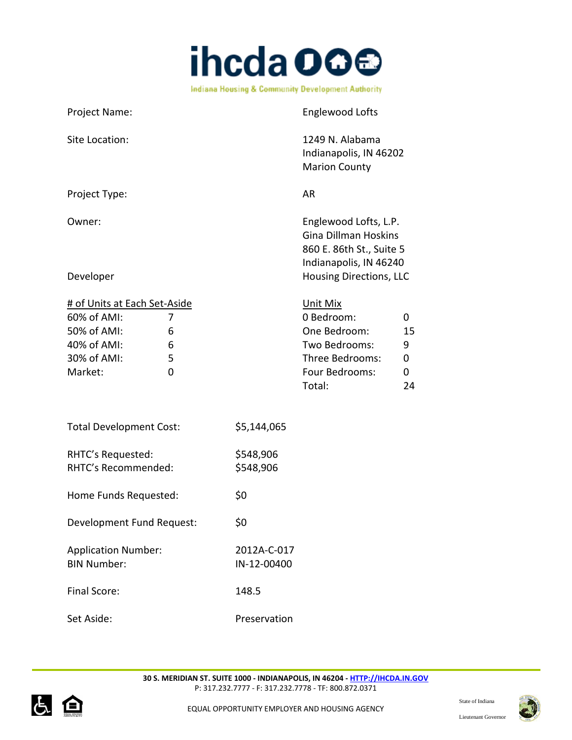

| Project Name:                                                                                       |                       |                        | <b>Englewood Lofts</b>                                                                                     |                                        |
|-----------------------------------------------------------------------------------------------------|-----------------------|------------------------|------------------------------------------------------------------------------------------------------------|----------------------------------------|
| Site Location:                                                                                      |                       |                        | 1249 N. Alabama<br>Indianapolis, IN 46202<br><b>Marion County</b>                                          |                                        |
| Project Type:                                                                                       |                       |                        | <b>AR</b>                                                                                                  |                                        |
| Owner:                                                                                              |                       |                        | Englewood Lofts, L.P.<br><b>Gina Dillman Hoskins</b><br>860 E. 86th St., Suite 5<br>Indianapolis, IN 46240 |                                        |
| Developer                                                                                           |                       |                        | <b>Housing Directions, LLC</b>                                                                             |                                        |
| # of Units at Each Set-Aside<br>60% of AMI:<br>50% of AMI:<br>40% of AMI:<br>30% of AMI:<br>Market: | 7<br>6<br>6<br>5<br>0 |                        | Unit Mix<br>0 Bedroom:<br>One Bedroom:<br>Two Bedrooms:<br>Three Bedrooms:<br>Four Bedrooms:<br>Total:     | 0<br>15<br>9<br>$\mathbf 0$<br>0<br>24 |
| <b>Total Development Cost:</b>                                                                      |                       | \$5,144,065            |                                                                                                            |                                        |
| RHTC's Requested:<br>RHTC's Recommended:                                                            |                       | \$548,906<br>\$548,906 |                                                                                                            |                                        |
| Home Funds Requested:                                                                               |                       | \$0                    |                                                                                                            |                                        |
| Development Fund Request:                                                                           |                       | \$0                    |                                                                                                            |                                        |

Set Aside: Preservation

Final Score: 148.5

Application Number: 2012A-C-017 BIN Number: IN-12-00400



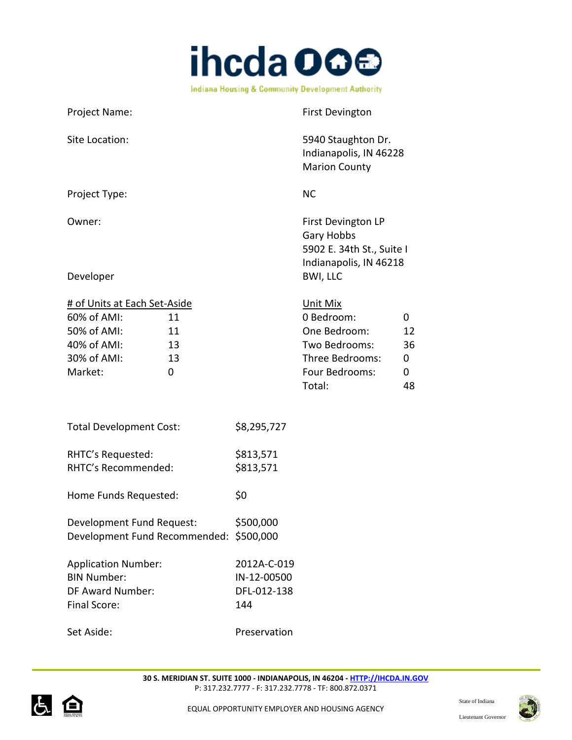

Project Name: The Contract of the Project Name: Site Location: 5940 Staughton Dr. Indianapolis, IN 46228 Marion County Project Type: NC Owner: Communication Communication Communication Communication Communication Communication Communication Communication Communication Communication Communication Communication Communication Communication Communication Commu Gary Hobbs 5902 E. 34th St., Suite I Indianapolis, IN 46218 Developer BWI, LLC # of Units at Each Set-Aside Unit Mix 60% of AMI: 11 0 Bedroom: 0 50% of AMI: 11 One Bedroom: 12 40% of AMI: 13 Two Bedrooms: 36 30% of AMI: 13 Three Bedrooms: 0 Market: 0 0 Four Bedrooms: 0 Total: 48 Total Development Cost: \$8,295,727 RHTC's Requested: \$813,571 RHTC's Recommended: \$813,571 Home Funds Requested: \$0 Development Fund Request: \$500,000 Development Fund Recommended: \$500,000

Application Number: 2012A-C-019 BIN Number: IN-12-00500 DF Award Number: DFL-012-138 Final Score: 144

Set Aside: Preservation



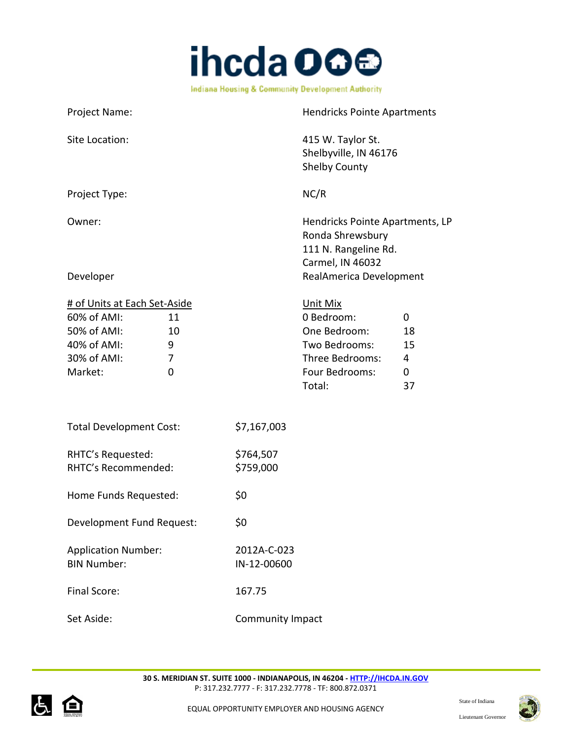

Project Name: Hendricks Pointe Apartments Site Location: 415 W. Taylor St. Shelbyville, IN 46176 Shelby County Project Type: NC/R Owner: Hendricks Pointe Apartments, LP Ronda Shrewsbury 111 N. Rangeline Rd. Carmel, IN 46032 Developer **Developer RealAmerica Development** # of Units at Each Set-Aside Set Aside: Community Impact Unit Mix 60% of AMI: 11 0 Bedroom: 0 50% of AMI: 10 One Bedroom: 18 40% of AMI: 9 Two Bedrooms: 15 30% of AMI: 7 Three Bedrooms: 4 Market: 0 0 0 Four Bedrooms: 0 Total: 37 Total Development Cost: \$7,167,003 RHTC's Requested: \$764,507 RHTC's Recommended: \$759,000 Home Funds Requested: \$0 Development Fund Request: \$0 Application Number: 2012A-C-023 BIN Number: IN-12-00600 Final Score: 167.75





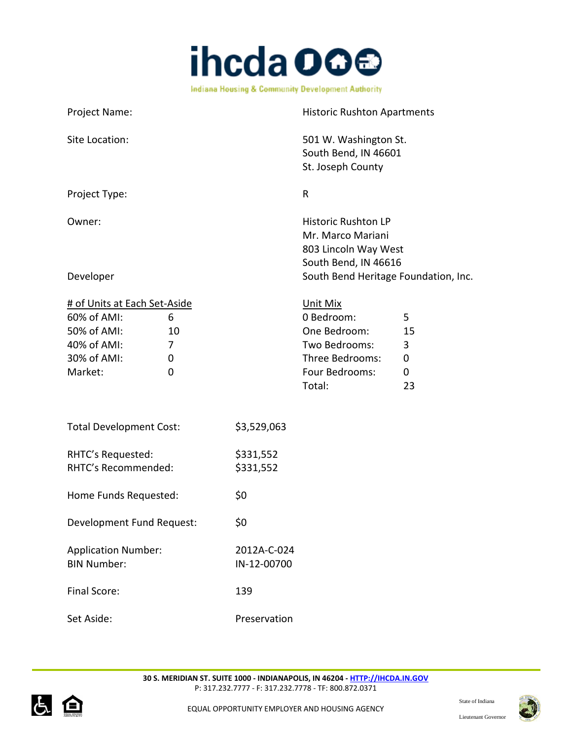

| Project Name:                                                                                       |                                                      |                        | <b>Historic Rushton Apartments</b>                                                                                                      |                              |
|-----------------------------------------------------------------------------------------------------|------------------------------------------------------|------------------------|-----------------------------------------------------------------------------------------------------------------------------------------|------------------------------|
| Site Location:                                                                                      |                                                      |                        | 501 W. Washington St.<br>South Bend, IN 46601<br>St. Joseph County                                                                      |                              |
| Project Type:                                                                                       |                                                      |                        | $\mathsf{R}$                                                                                                                            |                              |
| Owner:<br>Developer                                                                                 |                                                      |                        | <b>Historic Rushton LP</b><br>Mr. Marco Mariani<br>803 Lincoln Way West<br>South Bend, IN 46616<br>South Bend Heritage Foundation, Inc. |                              |
| # of Units at Each Set-Aside<br>60% of AMI:<br>50% of AMI:<br>40% of AMI:<br>30% of AMI:<br>Market: | 6<br>10<br>$\overline{7}$<br>$\mathbf 0$<br>$\Omega$ |                        | Unit Mix<br>0 Bedroom:<br>One Bedroom:<br>Two Bedrooms:<br>Three Bedrooms:<br>Four Bedrooms:<br>Total:                                  | 5<br>15<br>3<br>0<br>0<br>23 |
| <b>Total Development Cost:</b>                                                                      |                                                      | \$3,529,063            |                                                                                                                                         |                              |
| RHTC's Requested:<br>RHTC's Recommended:                                                            |                                                      | \$331,552<br>\$331,552 |                                                                                                                                         |                              |
| Home Funds Requested:                                                                               |                                                      | \$0                    |                                                                                                                                         |                              |
| Development Fund Request:                                                                           |                                                      | \$0                    |                                                                                                                                         |                              |
| <b>Application Number:</b>                                                                          |                                                      | 2012A-C-024            |                                                                                                                                         |                              |

**30 S. MERIDIAN ST. SUITE 1000 - INDIANAPOLIS, IN 46204 - [HTTP://IHCDA.IN.GOV](http://ihcda.in.gov/)** P: 317.232.7777 - F: 317.232.7778 - TF: 800.872.0371

Set Aside: Preservation

BIN Number: IN-12-00700

Final Score: 139



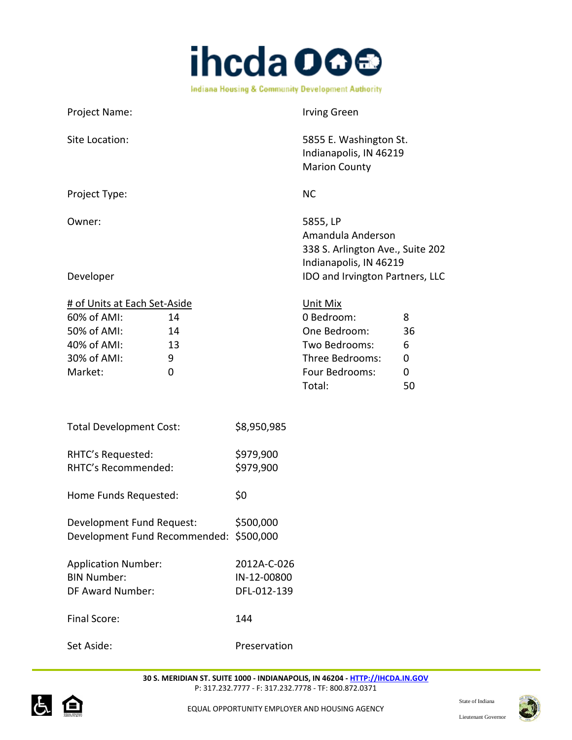

Project Name: Irving Green Site Location: 5855 E. Washington St. Indianapolis, IN 46219 Marion County Project Type: NC Owner: 5855, LP Amandula Anderson 338 S. Arlington Ave., Suite 202 Indianapolis, IN 46219 Developer **IDO** and Irvington Partners, LLC # of Units at Each Set-Aside Unit Mix 60% of AMI: 14 0 Bedroom: 8 50% of AMI: 14 One Bedroom: 36 40% of AMI: 13 Two Bedrooms: 6 30% of AMI: 9 Three Bedrooms: 0 Market: 0 0 0 Four Bedrooms: 0 Total: 50 Total Development Cost: \$8,950,985 RHTC's Requested:  $$979,900$ RHTC's Recommended: \$979,900 Home Funds Requested: \$0 Development Fund Request: \$500,000 Development Fund Recommended: \$500,000 Application Number: 2012A-C-026 BIN Number: IN-12-00800

Final Score: 144

Set Aside: The Preservation

DF Award Number: DFL-012-139



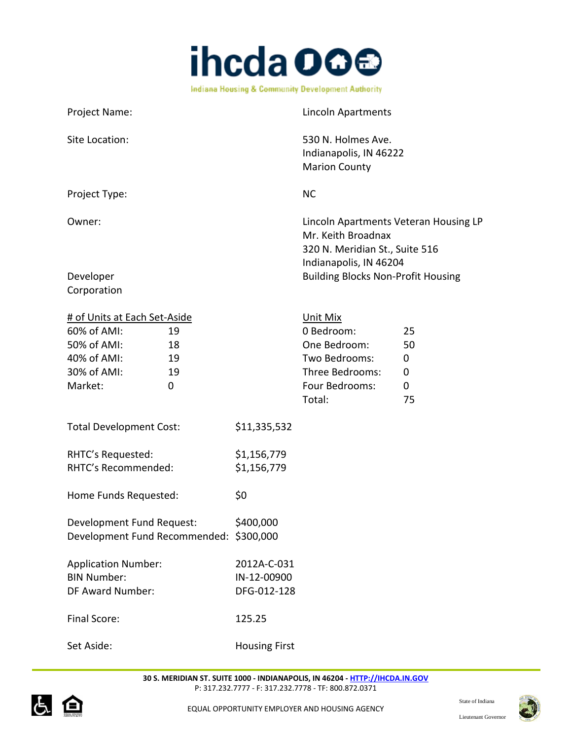

Project Name: Case of Contract Contract Apartments Site Location: 530 N. Holmes Ave. Indianapolis, IN 46222 Marion County Project Type: NC Owner: Lincoln Apartments Veteran Housing LP Mr. Keith Broadnax 320 N. Meridian St., Suite 516 Indianapolis, IN 46204 Developer **Building Blocks Non-Profit Housing** Corporation

| # of Units at Each Set-Aside            |    |                      | Unit Mix        |    |
|-----------------------------------------|----|----------------------|-----------------|----|
| 60% of AMI:                             | 19 |                      | 0 Bedroom:      | 25 |
| 50% of AMI:                             | 18 |                      | One Bedroom:    | 50 |
| 40% of AMI:                             | 19 |                      | Two Bedrooms:   | 0  |
| 30% of AMI:                             | 19 |                      | Three Bedrooms: | 0  |
| Market:                                 | 0  |                      | Four Bedrooms:  | 0  |
|                                         |    |                      | Total:          | 75 |
|                                         |    |                      |                 |    |
| <b>Total Development Cost:</b>          |    | \$11,335,532         |                 |    |
|                                         |    |                      |                 |    |
| RHTC's Requested:                       |    | \$1,156,779          |                 |    |
| RHTC's Recommended:                     |    | \$1,156,779          |                 |    |
|                                         |    | \$0                  |                 |    |
| Home Funds Requested:                   |    |                      |                 |    |
| Development Fund Request:               |    | \$400,000            |                 |    |
| Development Fund Recommended: \$300,000 |    |                      |                 |    |
|                                         |    |                      |                 |    |
| <b>Application Number:</b>              |    | 2012A-C-031          |                 |    |
| <b>BIN Number:</b>                      |    | IN-12-00900          |                 |    |
| DF Award Number:                        |    | DFG-012-128          |                 |    |
|                                         |    |                      |                 |    |
| Final Score:                            |    | 125.25               |                 |    |
|                                         |    |                      |                 |    |
| Set Aside:                              |    | <b>Housing First</b> |                 |    |



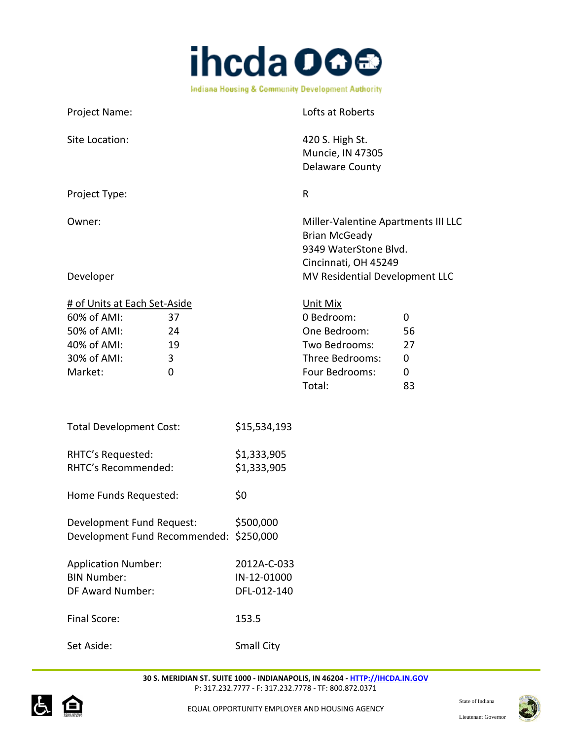

Project Name: Contract Name: Contract Name and Lofts at Roberts Site Location: 420 S. High St. Muncie, IN 47305 Delaware County Project Type: Research Management of the Research of the Research of the Research of the Research of the Research of the Research of the Research of the Research of the Research of the Research of the Research of the Resea Owner: Charles Communication of the Miller-Valentine Apartments III LLC Brian McGeady 9349 WaterStone Blvd. Cincinnati, OH 45249 Developer **Developer Development LLC** # of Units at Each Set-Aside Unit Mix 60% of AMI: 37 0 Bedroom: 0 50% of AMI: 24 One Bedroom: 56 40% of AMI: 19 Two Bedrooms: 27 30% of AMI: 3 Three Bedrooms: 0 Market: 0 0 Four Bedrooms: 0 Total: 83

| <b>Total Development Cost:</b> | \$15,534,193 |
|--------------------------------|--------------|
| RHTC's Requested:              | \$1,333,905  |
| RHTC's Recommended:            | \$1,333,905  |

Home Funds Requested: \$0

| Development Fund Request:               | \$500,000 |
|-----------------------------------------|-----------|
| Development Fund Recommended: \$250,000 |           |

| <b>Application Number:</b> | 2012A-C-033 |
|----------------------------|-------------|
| <b>BIN Number:</b>         | IN-12-01000 |
| DF Award Number:           | DFL-012-140 |
| Final Score:               | 153.5       |

Set Aside: Small City



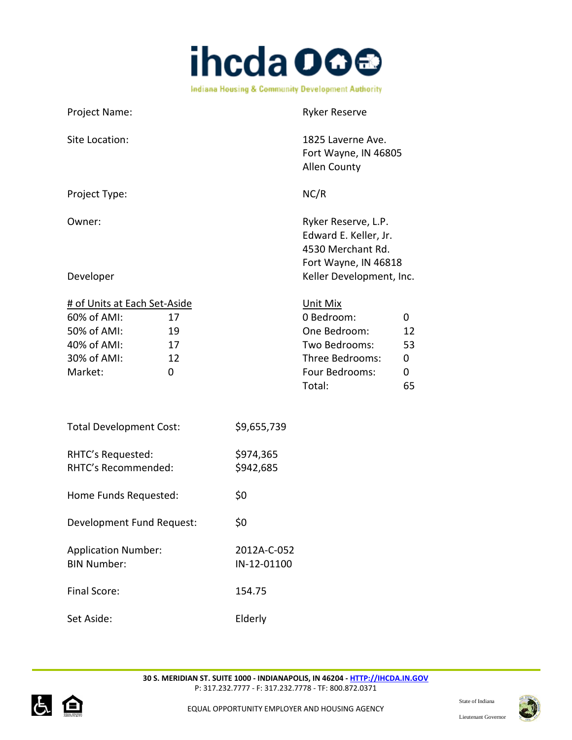

Project Name: Name: Ryker Reserve Site Location: 1825 Laverne Ave. Fort Wayne, IN 46805 Allen County Project Type: NC/R Owner: Communication of the Ryker Reserve, L.P. Edward E. Keller, Jr. 4530 Merchant Rd. Fort Wayne, IN 46818 Developer **Network CONFIDENTIFY CONFIDENTIFY Keller Development, Inc.** # of Units at Each Set-Aside Unit Mix 60% of AMI: 17 0 Bedroom: 0 50% of AMI: 19 One Bedroom: 12 40% of AMI: 17 Two Bedrooms: 53 30% of AMI: 12 Three Bedrooms: 0 Market: 0 0 Four Bedrooms: 0 Total: 65 Total Development Cost: \$9,655,739 RHTC's Requested: \$974,365 RHTC's Recommended: \$942,685 Home Funds Requested: \$0 Development Fund Request: \$0 Application Number: 2012A-C-052 BIN Number: IN-12-01100 Final Score: 154.75



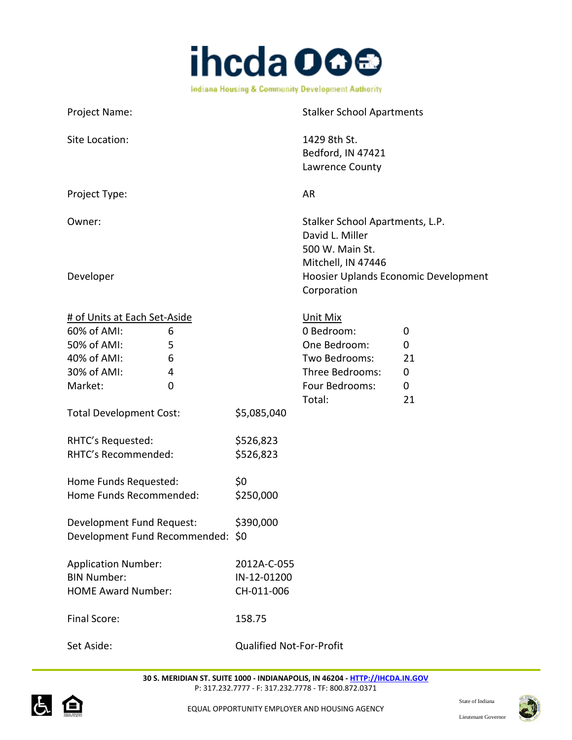

Project Name: Stalker School Apartments Site Location: 1429 8th St. Bedford, IN 47421 Lawrence County Project Type: AR Owner: Stalker School Apartments, L.P. David L. Miller 500 W. Main St. Mitchell, IN 47446 Developer Hoosier Uplands Economic Development Corporation # of Units at Each Set-Aside Unit Mix 60% of AMI: 6 0 Bedroom: 0 50% of AMI: 5 5 000 0ne Bedroom: 0 40% of AMI: 6 Two Bedrooms: 21 30% of AMI: 4 Three Bedrooms: 0 Market: 0 0 0 Four Bedrooms: 0 Total: 21

Set Aside: Qualified Not-For-Profit

Total Development Cost: \$5,085,040

RHTC's Requested: \$526,823 RHTC's Recommended: \$526,823

Home Funds Recommended: \$250,000

Development Fund Request: \$390,000

Application Number: 2012A-C-055 BIN Number: IN-12-01200 HOME Award Number: CH-011-006

Final Score: 158.75

Home Funds Requested: \$0

Development Fund Recommended: \$0



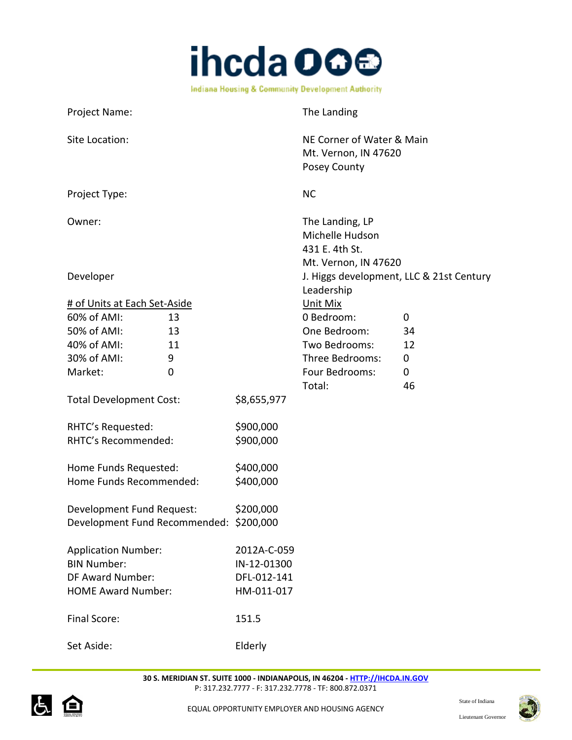

| Project Name:                           |    |             | The Landing                                                                  |    |
|-----------------------------------------|----|-------------|------------------------------------------------------------------------------|----|
| Site Location:                          |    |             | NE Corner of Water & Main<br>Mt. Vernon, IN 47620<br>Posey County            |    |
| Project Type:                           |    |             | <b>NC</b>                                                                    |    |
| Owner:                                  |    |             | The Landing, LP<br>Michelle Hudson<br>431 E. 4th St.<br>Mt. Vernon, IN 47620 |    |
| Developer                               |    |             | J. Higgs development, LLC & 21st Century<br>Leadership                       |    |
| # of Units at Each Set-Aside            |    |             | <b>Unit Mix</b>                                                              |    |
| 60% of AMI:                             | 13 |             | 0 Bedroom:                                                                   | 0  |
| 50% of AMI:                             | 13 |             | One Bedroom:                                                                 | 34 |
| 40% of AMI:                             | 11 |             | Two Bedrooms:                                                                | 12 |
| 30% of AMI:                             | 9  |             | Three Bedrooms:                                                              | 0  |
| Market:                                 | 0  |             | Four Bedrooms:                                                               | 0  |
|                                         |    |             | Total:                                                                       | 46 |
| <b>Total Development Cost:</b>          |    | \$8,655,977 |                                                                              |    |
| RHTC's Requested:                       |    | \$900,000   |                                                                              |    |
| RHTC's Recommended:                     |    | \$900,000   |                                                                              |    |
|                                         |    |             |                                                                              |    |
| Home Funds Requested:                   |    | \$400,000   |                                                                              |    |
| Home Funds Recommended:                 |    | \$400,000   |                                                                              |    |
|                                         |    |             |                                                                              |    |
| Development Fund Request:               |    | \$200,000   |                                                                              |    |
| Development Fund Recommended: \$200,000 |    |             |                                                                              |    |
| <b>Application Number:</b>              |    | 2012A-C-059 |                                                                              |    |
| <b>BIN Number:</b>                      |    | IN-12-01300 |                                                                              |    |
| DF Award Number:                        |    | DFL-012-141 |                                                                              |    |
| <b>HOME Award Number:</b>               |    | HM-011-017  |                                                                              |    |
|                                         |    |             |                                                                              |    |
| Final Score:                            |    | 151.5       |                                                                              |    |
|                                         |    |             |                                                                              |    |
| Set Aside:                              |    | Elderly     |                                                                              |    |
|                                         |    |             |                                                                              |    |

**30 S. MERIDIAN ST. SUITE 1000 - INDIANAPOLIS, IN 46204 - [HTTP://IHCDA.IN.GOV](http://ihcda.in.gov/)** P: 317.232.7777 - F: 317.232.7778 - TF: 800.872.0371